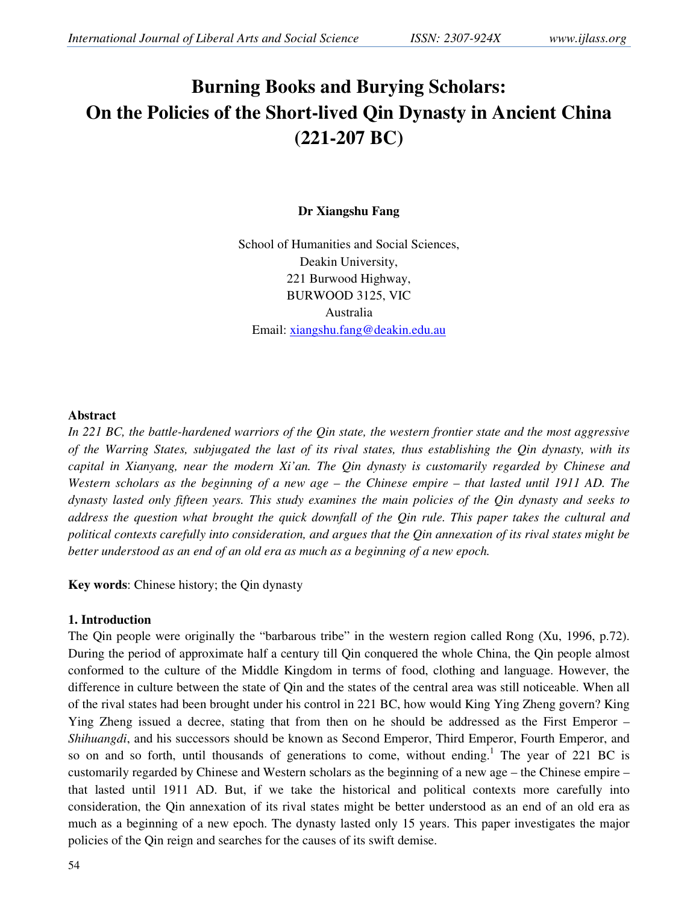# **Burning Books and Burying Scholars: On the Policies of the Short-lived Qin Dynasty in Ancient China (221-207 BC)**

## **Dr Xiangshu Fang**

School of Humanities and Social Sciences, Deakin University, 221 Burwood Highway, BURWOOD 3125, VIC Australia Email: xiangshu.fang@deakin.edu.au

#### **Abstract**

*In 221 BC, the battle-hardened warriors of the Qin state, the western frontier state and the most aggressive of the Warring States, subjugated the last of its rival states, thus establishing the Qin dynasty, with its capital in Xianyang, near the modern Xi'an. The Qin dynasty is customarily regarded by Chinese and Western scholars as the beginning of a new age – the Chinese empire – that lasted until 1911 AD. The dynasty lasted only fifteen years. This study examines the main policies of the Qin dynasty and seeks to address the question what brought the quick downfall of the Qin rule. This paper takes the cultural and political contexts carefully into consideration, and argues that the Qin annexation of its rival states might be better understood as an end of an old era as much as a beginning of a new epoch.* 

**Key words**: Chinese history; the Qin dynasty

## **1. Introduction**

The Qin people were originally the "barbarous tribe" in the western region called Rong (Xu, 1996, p.72). During the period of approximate half a century till Qin conquered the whole China, the Qin people almost conformed to the culture of the Middle Kingdom in terms of food, clothing and language. However, the difference in culture between the state of Qin and the states of the central area was still noticeable. When all of the rival states had been brought under his control in 221 BC, how would King Ying Zheng govern? King Ying Zheng issued a decree, stating that from then on he should be addressed as the First Emperor – *Shihuangdi*, and his successors should be known as Second Emperor, Third Emperor, Fourth Emperor, and so on and so forth, until thousands of generations to come, without ending.<sup>1</sup> The year of 221 BC is customarily regarded by Chinese and Western scholars as the beginning of a new age – the Chinese empire – that lasted until 1911 AD. But, if we take the historical and political contexts more carefully into consideration, the Qin annexation of its rival states might be better understood as an end of an old era as much as a beginning of a new epoch. The dynasty lasted only 15 years. This paper investigates the major policies of the Qin reign and searches for the causes of its swift demise.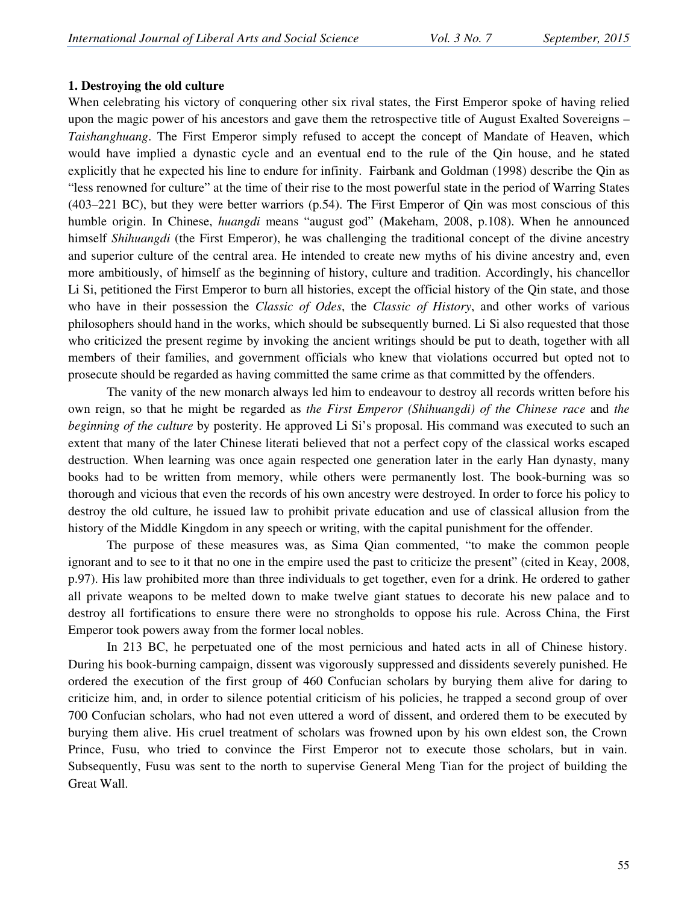#### **1. Destroying the old culture**

When celebrating his victory of conquering other six rival states, the First Emperor spoke of having relied upon the magic power of his ancestors and gave them the retrospective title of August Exalted Sovereigns – *Taishanghuang*. The First Emperor simply refused to accept the concept of Mandate of Heaven, which would have implied a dynastic cycle and an eventual end to the rule of the Qin house, and he stated explicitly that he expected his line to endure for infinity. Fairbank and Goldman (1998) describe the Qin as "less renowned for culture" at the time of their rise to the most powerful state in the period of Warring States (403–221 BC), but they were better warriors (p.54). The First Emperor of Qin was most conscious of this humble origin. In Chinese, *huangdi* means "august god" (Makeham, 2008, p.108). When he announced himself *Shihuangdi* (the First Emperor), he was challenging the traditional concept of the divine ancestry and superior culture of the central area. He intended to create new myths of his divine ancestry and, even more ambitiously, of himself as the beginning of history, culture and tradition. Accordingly, his chancellor Li Si, petitioned the First Emperor to burn all histories, except the official history of the Qin state, and those who have in their possession the *Classic of Odes*, the *Classic of History*, and other works of various philosophers should hand in the works, which should be subsequently burned. Li Si also requested that those who criticized the present regime by invoking the ancient writings should be put to death, together with all members of their families, and government officials who knew that violations occurred but opted not to prosecute should be regarded as having committed the same crime as that committed by the offenders.

 The vanity of the new monarch always led him to endeavour to destroy all records written before his own reign, so that he might be regarded as *the First Emperor (Shihuangdi) of the Chinese race* and *the beginning of the culture* by posterity. He approved Li Si's proposal. His command was executed to such an extent that many of the later Chinese literati believed that not a perfect copy of the classical works escaped destruction. When learning was once again respected one generation later in the early Han dynasty, many books had to be written from memory, while others were permanently lost. The book-burning was so thorough and vicious that even the records of his own ancestry were destroyed. In order to force his policy to destroy the old culture, he issued law to prohibit private education and use of classical allusion from the history of the Middle Kingdom in any speech or writing, with the capital punishment for the offender.

 The purpose of these measures was, as Sima Qian commented, "to make the common people ignorant and to see to it that no one in the empire used the past to criticize the present" (cited in Keay, 2008, p.97). His law prohibited more than three individuals to get together, even for a drink. He ordered to gather all private weapons to be melted down to make twelve giant statues to decorate his new palace and to destroy all fortifications to ensure there were no strongholds to oppose his rule. Across China, the First Emperor took powers away from the former local nobles.

 In 213 BC, he perpetuated one of the most pernicious and hated acts in all of Chinese history. During his book-burning campaign, dissent was vigorously suppressed and dissidents severely punished. He ordered the execution of the first group of 460 Confucian scholars by burying them alive for daring to criticize him, and, in order to silence potential criticism of his policies, he trapped a second group of over 700 Confucian scholars, who had not even uttered a word of dissent, and ordered them to be executed by burying them alive. His cruel treatment of scholars was frowned upon by his own eldest son, the Crown Prince, Fusu, who tried to convince the First Emperor not to execute those scholars, but in vain. Subsequently, Fusu was sent to the north to supervise General Meng Tian for the project of building the Great Wall.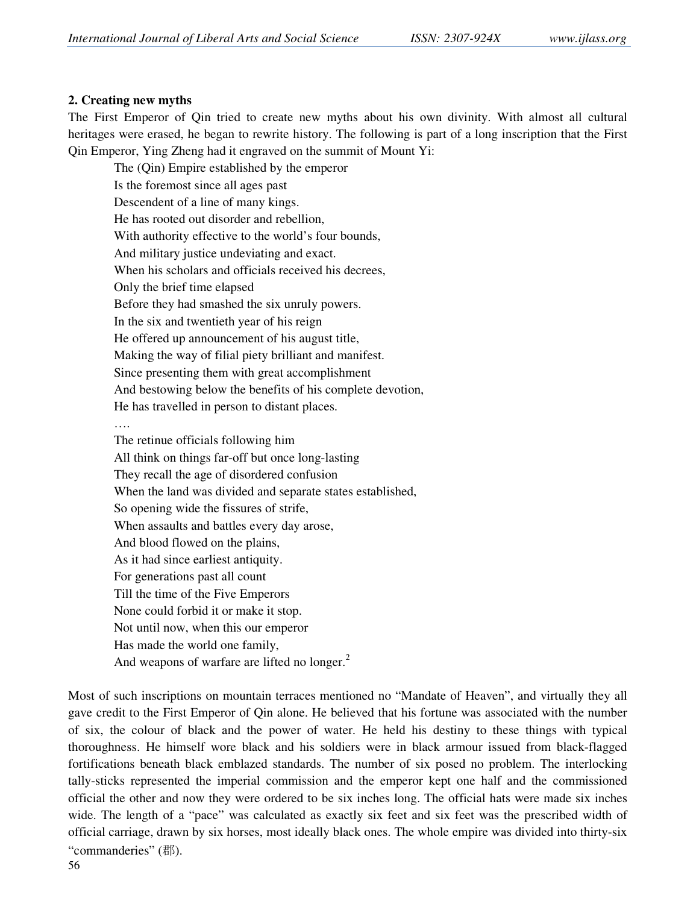#### **2. Creating new myths**

The First Emperor of Qin tried to create new myths about his own divinity. With almost all cultural heritages were erased, he began to rewrite history. The following is part of a long inscription that the First Qin Emperor, Ying Zheng had it engraved on the summit of Mount Yi:

The (Qin) Empire established by the emperor Is the foremost since all ages past Descendent of a line of many kings. He has rooted out disorder and rebellion, With authority effective to the world's four bounds, And military justice undeviating and exact. When his scholars and officials received his decrees, Only the brief time elapsed Before they had smashed the six unruly powers. In the six and twentieth year of his reign He offered up announcement of his august title, Making the way of filial piety brilliant and manifest. Since presenting them with great accomplishment And bestowing below the benefits of his complete devotion, He has travelled in person to distant places. …. The retinue officials following him All think on things far-off but once long-lasting They recall the age of disordered confusion When the land was divided and separate states established, So opening wide the fissures of strife, When assaults and battles every day arose, And blood flowed on the plains,

As it had since earliest antiquity. For generations past all count Till the time of the Five Emperors None could forbid it or make it stop. Not until now, when this our emperor Has made the world one family,

And weapons of warfare are lifted no longer. $2$ 

Most of such inscriptions on mountain terraces mentioned no "Mandate of Heaven", and virtually they all gave credit to the First Emperor of Qin alone. He believed that his fortune was associated with the number of six, the colour of black and the power of water. He held his destiny to these things with typical thoroughness. He himself wore black and his soldiers were in black armour issued from black-flagged fortifications beneath black emblazed standards. The number of six posed no problem. The interlocking tally-sticks represented the imperial commission and the emperor kept one half and the commissioned official the other and now they were ordered to be six inches long. The official hats were made six inches wide. The length of a "pace" was calculated as exactly six feet and six feet was the prescribed width of official carriage, drawn by six horses, most ideally black ones. The whole empire was divided into thirty-six "commanderies" (郡).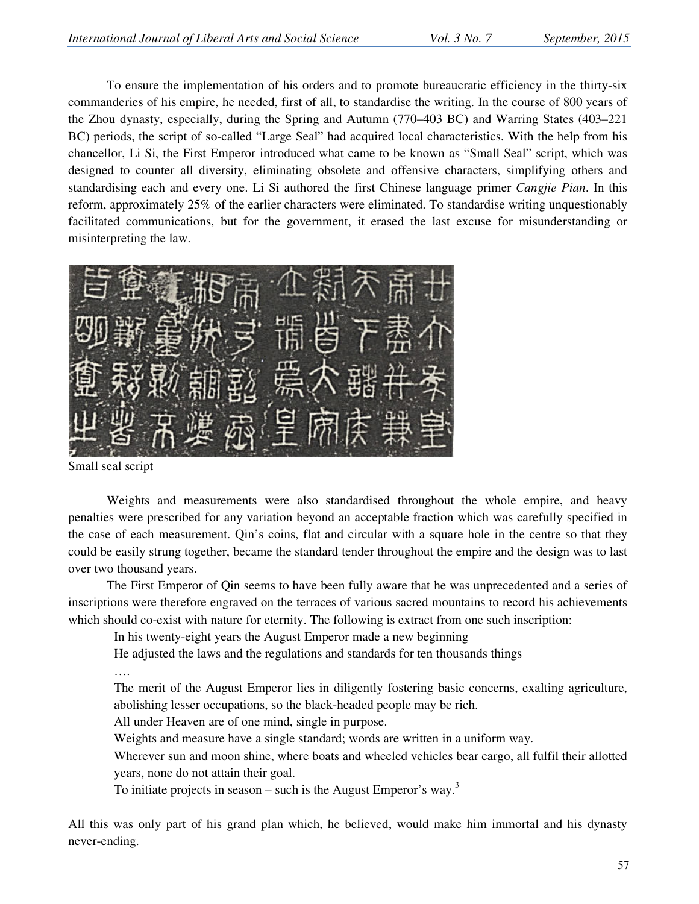To ensure the implementation of his orders and to promote bureaucratic efficiency in the thirty-six commanderies of his empire, he needed, first of all, to standardise the writing. In the course of 800 years of the Zhou dynasty, especially, during the Spring and Autumn (770–403 BC) and Warring States (403–221 BC) periods, the script of so-called "Large Seal" had acquired local characteristics. With the help from his chancellor, Li Si, the First Emperor introduced what came to be known as "Small Seal" script, which was designed to counter all diversity, eliminating obsolete and offensive characters, simplifying others and standardising each and every one. Li Si authored the first Chinese language primer *Cangjie Pian*. In this reform, approximately 25% of the earlier characters were eliminated. To standardise writing unquestionably facilitated communications, but for the government, it erased the last excuse for misunderstanding or misinterpreting the law.



Small seal script

 Weights and measurements were also standardised throughout the whole empire, and heavy penalties were prescribed for any variation beyond an acceptable fraction which was carefully specified in the case of each measurement. Qin's coins, flat and circular with a square hole in the centre so that they could be easily strung together, became the standard tender throughout the empire and the design was to last over two thousand years.

 The First Emperor of Qin seems to have been fully aware that he was unprecedented and a series of inscriptions were therefore engraved on the terraces of various sacred mountains to record his achievements which should co-exist with nature for eternity. The following is extract from one such inscription:

In his twenty-eight years the August Emperor made a new beginning

He adjusted the laws and the regulations and standards for ten thousands things

….

The merit of the August Emperor lies in diligently fostering basic concerns, exalting agriculture, abolishing lesser occupations, so the black-headed people may be rich.

All under Heaven are of one mind, single in purpose.

Weights and measure have a single standard; words are written in a uniform way.

Wherever sun and moon shine, where boats and wheeled vehicles bear cargo, all fulfil their allotted years, none do not attain their goal.

To initiate projects in season – such is the August Emperor's way.<sup>3</sup>

All this was only part of his grand plan which, he believed, would make him immortal and his dynasty never-ending.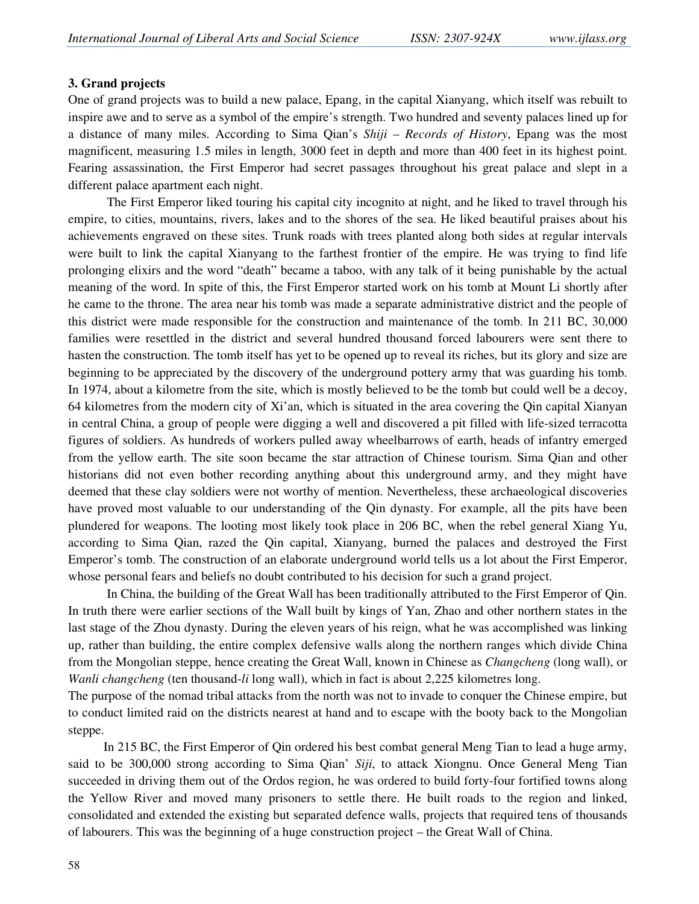#### **3. Grand projects**

One of grand projects was to build a new palace, Epang, in the capital Xianyang, which itself was rebuilt to inspire awe and to serve as a symbol of the empire's strength. Two hundred and seventy palaces lined up for a distance of many miles. According to Sima Qian's *Shiji* – *Records of History*, Epang was the most magnificent, measuring 1.5 miles in length, 3000 feet in depth and more than 400 feet in its highest point. Fearing assassination, the First Emperor had secret passages throughout his great palace and slept in a different palace apartment each night.

 The First Emperor liked touring his capital city incognito at night, and he liked to travel through his empire, to cities, mountains, rivers, lakes and to the shores of the sea. He liked beautiful praises about his achievements engraved on these sites. Trunk roads with trees planted along both sides at regular intervals were built to link the capital Xianyang to the farthest frontier of the empire. He was trying to find life prolonging elixirs and the word "death" became a taboo, with any talk of it being punishable by the actual meaning of the word. In spite of this, the First Emperor started work on his tomb at Mount Li shortly after he came to the throne. The area near his tomb was made a separate administrative district and the people of this district were made responsible for the construction and maintenance of the tomb. In 211 BC, 30,000 families were resettled in the district and several hundred thousand forced labourers were sent there to hasten the construction. The tomb itself has yet to be opened up to reveal its riches, but its glory and size are beginning to be appreciated by the discovery of the underground pottery army that was guarding his tomb. In 1974, about a kilometre from the site, which is mostly believed to be the tomb but could well be a decoy, 64 kilometres from the modern city of Xi'an, which is situated in the area covering the Qin capital Xianyan in central China, a group of people were digging a well and discovered a pit filled with life-sized terracotta figures of soldiers. As hundreds of workers pulled away wheelbarrows of earth, heads of infantry emerged from the yellow earth. The site soon became the star attraction of Chinese tourism. Sima Qian and other historians did not even bother recording anything about this underground army, and they might have deemed that these clay soldiers were not worthy of mention. Nevertheless, these archaeological discoveries have proved most valuable to our understanding of the Qin dynasty. For example, all the pits have been plundered for weapons. The looting most likely took place in 206 BC, when the rebel general Xiang Yu, according to Sima Qian, razed the Qin capital, Xianyang, burned the palaces and destroyed the First Emperor's tomb. The construction of an elaborate underground world tells us a lot about the First Emperor, whose personal fears and beliefs no doubt contributed to his decision for such a grand project.

 In China, the building of the Great Wall has been traditionally attributed to the First Emperor of Qin. In truth there were earlier sections of the Wall built by kings of Yan, Zhao and other northern states in the last stage of the Zhou dynasty. During the eleven years of his reign, what he was accomplished was linking up, rather than building, the entire complex defensive walls along the northern ranges which divide China from the Mongolian steppe, hence creating the Great Wall, known in Chinese as *Changcheng* (long wall), or *Wanli changcheng* (ten thousand-*li* long wall), which in fact is about 2,225 kilometres long.

The purpose of the nomad tribal attacks from the north was not to invade to conquer the Chinese empire, but to conduct limited raid on the districts nearest at hand and to escape with the booty back to the Mongolian steppe.

 In 215 BC, the First Emperor of Qin ordered his best combat general Meng Tian to lead a huge army, said to be 300,000 strong according to Sima Qian' *Siji*, to attack Xiongnu. Once General Meng Tian succeeded in driving them out of the Ordos region, he was ordered to build forty-four fortified towns along the Yellow River and moved many prisoners to settle there. He built roads to the region and linked, consolidated and extended the existing but separated defence walls, projects that required tens of thousands of labourers. This was the beginning of a huge construction project – the Great Wall of China.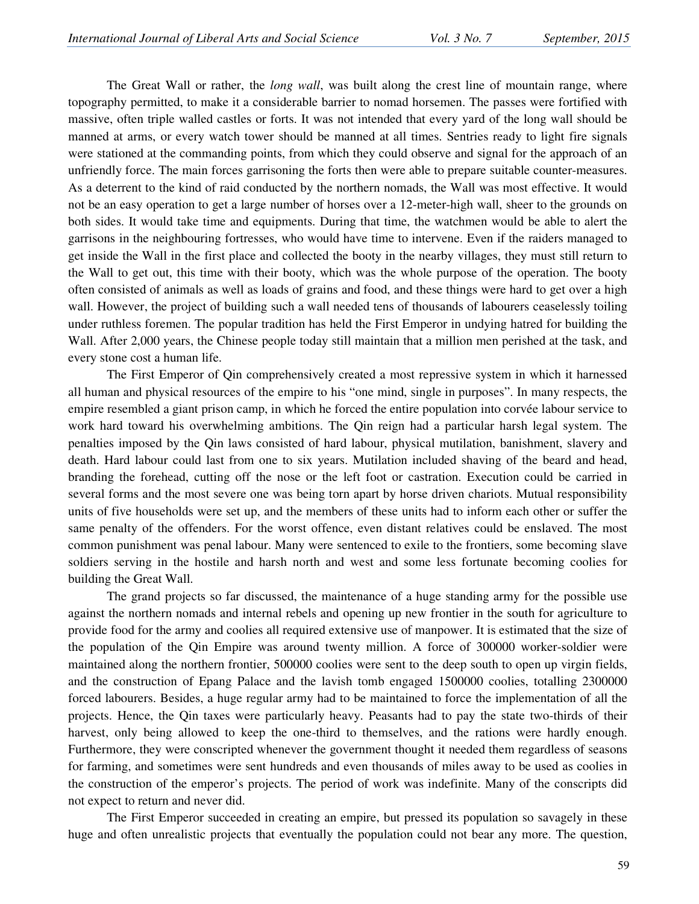The Great Wall or rather, the *long wall*, was built along the crest line of mountain range, where topography permitted, to make it a considerable barrier to nomad horsemen. The passes were fortified with massive, often triple walled castles or forts. It was not intended that every yard of the long wall should be manned at arms, or every watch tower should be manned at all times. Sentries ready to light fire signals were stationed at the commanding points, from which they could observe and signal for the approach of an unfriendly force. The main forces garrisoning the forts then were able to prepare suitable counter-measures. As a deterrent to the kind of raid conducted by the northern nomads, the Wall was most effective. It would not be an easy operation to get a large number of horses over a 12-meter-high wall, sheer to the grounds on both sides. It would take time and equipments. During that time, the watchmen would be able to alert the garrisons in the neighbouring fortresses, who would have time to intervene. Even if the raiders managed to get inside the Wall in the first place and collected the booty in the nearby villages, they must still return to the Wall to get out, this time with their booty, which was the whole purpose of the operation. The booty often consisted of animals as well as loads of grains and food, and these things were hard to get over a high wall. However, the project of building such a wall needed tens of thousands of labourers ceaselessly toiling under ruthless foremen. The popular tradition has held the First Emperor in undying hatred for building the Wall. After 2,000 years, the Chinese people today still maintain that a million men perished at the task, and every stone cost a human life.

 The First Emperor of Qin comprehensively created a most repressive system in which it harnessed all human and physical resources of the empire to his "one mind, single in purposes". In many respects, the empire resembled a giant prison camp, in which he forced the entire population into corvée labour service to work hard toward his overwhelming ambitions. The Qin reign had a particular harsh legal system. The penalties imposed by the Qin laws consisted of hard labour, physical mutilation, banishment, slavery and death. Hard labour could last from one to six years. Mutilation included shaving of the beard and head, branding the forehead, cutting off the nose or the left foot or castration. Execution could be carried in several forms and the most severe one was being torn apart by horse driven chariots. Mutual responsibility units of five households were set up, and the members of these units had to inform each other or suffer the same penalty of the offenders. For the worst offence, even distant relatives could be enslaved. The most common punishment was penal labour. Many were sentenced to exile to the frontiers, some becoming slave soldiers serving in the hostile and harsh north and west and some less fortunate becoming coolies for building the Great Wall.

 The grand projects so far discussed, the maintenance of a huge standing army for the possible use against the northern nomads and internal rebels and opening up new frontier in the south for agriculture to provide food for the army and coolies all required extensive use of manpower. It is estimated that the size of the population of the Qin Empire was around twenty million. A force of 300000 worker-soldier were maintained along the northern frontier, 500000 coolies were sent to the deep south to open up virgin fields, and the construction of Epang Palace and the lavish tomb engaged 1500000 coolies, totalling 2300000 forced labourers. Besides, a huge regular army had to be maintained to force the implementation of all the projects. Hence, the Qin taxes were particularly heavy. Peasants had to pay the state two-thirds of their harvest, only being allowed to keep the one-third to themselves, and the rations were hardly enough. Furthermore, they were conscripted whenever the government thought it needed them regardless of seasons for farming, and sometimes were sent hundreds and even thousands of miles away to be used as coolies in the construction of the emperor's projects. The period of work was indefinite. Many of the conscripts did not expect to return and never did.

 The First Emperor succeeded in creating an empire, but pressed its population so savagely in these huge and often unrealistic projects that eventually the population could not bear any more. The question,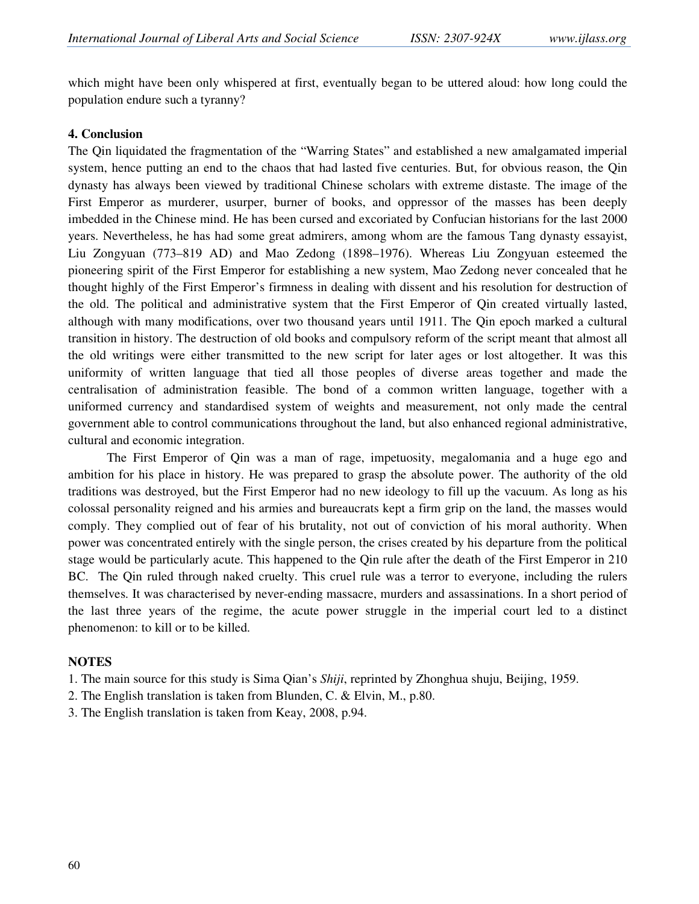which might have been only whispered at first, eventually began to be uttered aloud: how long could the population endure such a tyranny?

#### **4. Conclusion**

The Qin liquidated the fragmentation of the "Warring States" and established a new amalgamated imperial system, hence putting an end to the chaos that had lasted five centuries. But, for obvious reason, the Qin dynasty has always been viewed by traditional Chinese scholars with extreme distaste. The image of the First Emperor as murderer, usurper, burner of books, and oppressor of the masses has been deeply imbedded in the Chinese mind. He has been cursed and excoriated by Confucian historians for the last 2000 years. Nevertheless, he has had some great admirers, among whom are the famous Tang dynasty essayist, Liu Zongyuan (773–819 AD) and Mao Zedong (1898–1976). Whereas Liu Zongyuan esteemed the pioneering spirit of the First Emperor for establishing a new system, Mao Zedong never concealed that he thought highly of the First Emperor's firmness in dealing with dissent and his resolution for destruction of the old. The political and administrative system that the First Emperor of Qin created virtually lasted, although with many modifications, over two thousand years until 1911. The Qin epoch marked a cultural transition in history. The destruction of old books and compulsory reform of the script meant that almost all the old writings were either transmitted to the new script for later ages or lost altogether. It was this uniformity of written language that tied all those peoples of diverse areas together and made the centralisation of administration feasible. The bond of a common written language, together with a uniformed currency and standardised system of weights and measurement, not only made the central government able to control communications throughout the land, but also enhanced regional administrative, cultural and economic integration.

 The First Emperor of Qin was a man of rage, impetuosity, megalomania and a huge ego and ambition for his place in history. He was prepared to grasp the absolute power. The authority of the old traditions was destroyed, but the First Emperor had no new ideology to fill up the vacuum. As long as his colossal personality reigned and his armies and bureaucrats kept a firm grip on the land, the masses would comply. They complied out of fear of his brutality, not out of conviction of his moral authority. When power was concentrated entirely with the single person, the crises created by his departure from the political stage would be particularly acute. This happened to the Qin rule after the death of the First Emperor in 210 BC. The Qin ruled through naked cruelty. This cruel rule was a terror to everyone, including the rulers themselves. It was characterised by never-ending massacre, murders and assassinations. In a short period of the last three years of the regime, the acute power struggle in the imperial court led to a distinct phenomenon: to kill or to be killed.

## **NOTES**

- 1. The main source for this study is Sima Qian's *Shiji*, reprinted by Zhonghua shuju, Beijing, 1959.
- 2. The English translation is taken from Blunden, C. & Elvin, M., p.80.
- 3. The English translation is taken from Keay, 2008, p.94.